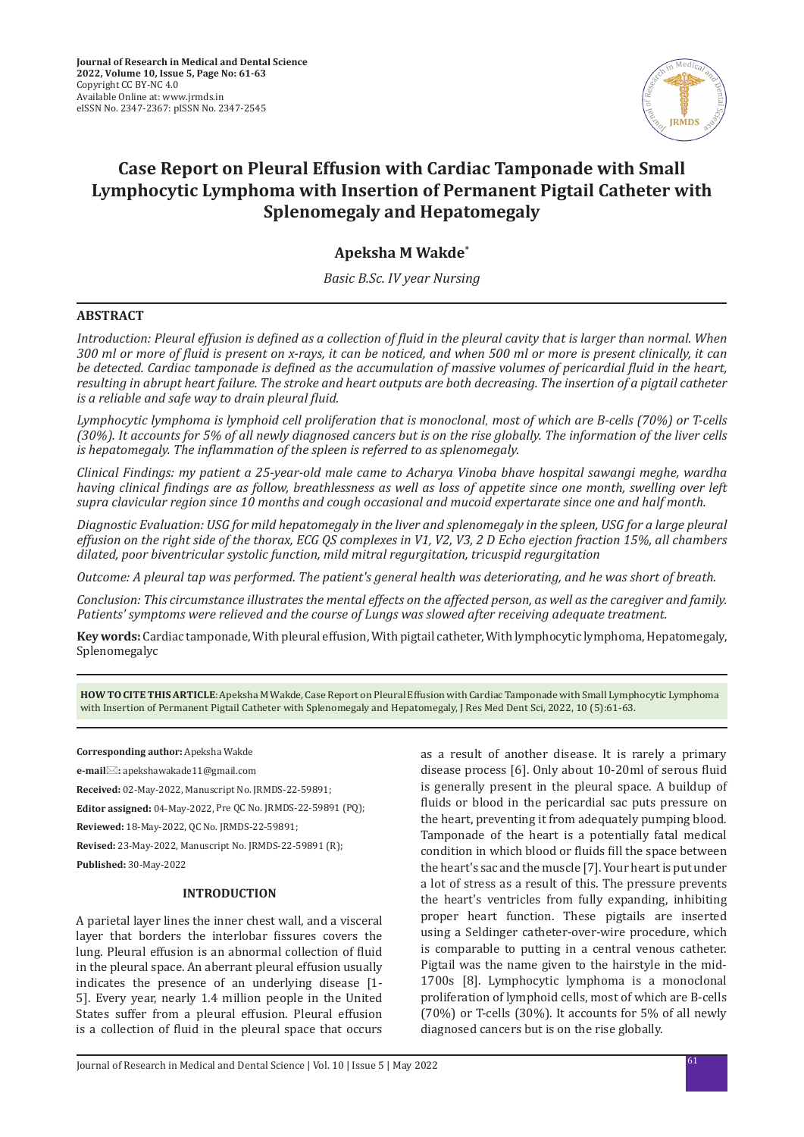

# **Case Report on Pleural Effusion with Cardiac Tamponade with Small Lymphocytic Lymphoma with Insertion of Permanent Pigtail Catheter with Splenomegaly and Hepatomegaly**

# **Apeksha M Wakde\***

*Basic B.Sc. IV year Nursing*

### **ABSTRACT**

*Introduction: Pleural effusion is defined as a collection of fluid in the pleural cavity that is larger than normal. When 300 ml or more of fluid is present on x-rays, it can be noticed, and when 500 ml or more is present clinically, it can be detected. Cardiac tamponade is defined as the accumulation of massive volumes of pericardial fluid in the heart, resulting in abrupt heart failure. The stroke and heart outputs are both decreasing. The insertion of a pigtail catheter is a reliable and safe way to drain pleural fluid.*

*Lymphocytic lymphoma is lymphoid cell proliferation that is monoclonal, most of which are B-cells (70%) or T-cells (30%). It accounts for 5% of all newly diagnosed cancers but is on the rise globally. The information of the liver cells is hepatomegaly. The inflammation of the spleen is referred to as splenomegaly.*

*Clinical Findings: my patient a 25-year-old male came to Acharya Vinoba bhave hospital sawangi meghe, wardha having clinical findings are as follow, breathlessness as well as loss of appetite since one month, swelling over left supra clavicular region since 10 months and cough occasional and mucoid expertarate since one and half month.* 

*Diagnostic Evaluation: USG for mild hepatomegaly in the liver and splenomegaly in the spleen, USG for a large pleural effusion on the right side of the thorax, ECG QS complexes in V1, V2, V3, 2 D Echo ejection fraction 15%, all chambers dilated, poor biventricular systolic function, mild mitral regurgitation, tricuspid regurgitation*

*Outcome: A pleural tap was performed. The patient's general health was deteriorating, and he was short of breath.*

*Conclusion: This circumstance illustrates the mental effects on the affected person, as well as the caregiver and family. Patients' symptoms were relieved and the course of Lungs was slowed after receiving adequate treatment.*

**Key words:** Cardiac tamponade, With pleural effusion, With pigtail catheter, With lymphocytic lymphoma, Hepatomegaly, Splenomegalyc

**HOW TO CITE THIS ARTICLE**: Apeksha M Wakde, Case Report on Pleural Effusion with Cardiac Tamponade with Small Lymphocytic Lymphoma with Insertion of Permanent Pigtail Catheter with Splenomegaly and Hepatomegaly, J Res Med Dent Sci, 2022, 10 (5):61-63.

**Corresponding author:** Apeksha Wakde

**e-mail:** apekshawakade11@gmail.com

**Received:** 02-May-2022, Manuscript No. JRMDS-22-59891;

**Editor assigned:** 04-May-2022, Pre QC No. JRMDS-22-59891 (PQ);

**Reviewed:** 18-May-2022, QC No. JRMDS-22-59891;

**Revised:** 23-May-2022, Manuscript No. JRMDS-22-59891 (R);

# **Published:** 30-May-2022

# **INTRODUCTION**

A parietal layer lines the inner chest wall, and a visceral layer that borders the interlobar fissures covers the lung. Pleural effusion is an abnormal collection of fluid in the pleural space. An aberrant pleural effusion usually indicates the presence of an underlying disease [1- 5]. Every year, nearly 1.4 million people in the United States suffer from a pleural effusion. Pleural effusion is a collection of fluid in the pleural space that occurs as a result of another disease. It is rarely a primary disease process [6]. Only about 10-20ml of serous fluid is generally present in the pleural space. A buildup of fluids or blood in the pericardial sac puts pressure on the heart, preventing it from adequately pumping blood. Tamponade of the heart is a potentially fatal medical condition in which blood or fluids fill the space between the heart's sac and the muscle [7]. Your heart is put under a lot of stress as a result of this. The pressure prevents the heart's ventricles from fully expanding, inhibiting proper heart function. These pigtails are inserted using a Seldinger catheter-over-wire procedure, which is comparable to putting in a central venous catheter. Pigtail was the name given to the hairstyle in the mid-1700s [8]. Lymphocytic lymphoma is a monoclonal proliferation of lymphoid cells, most of which are B-cells (70%) or T-cells (30%). It accounts for 5% of all newly diagnosed cancers but is on the rise globally.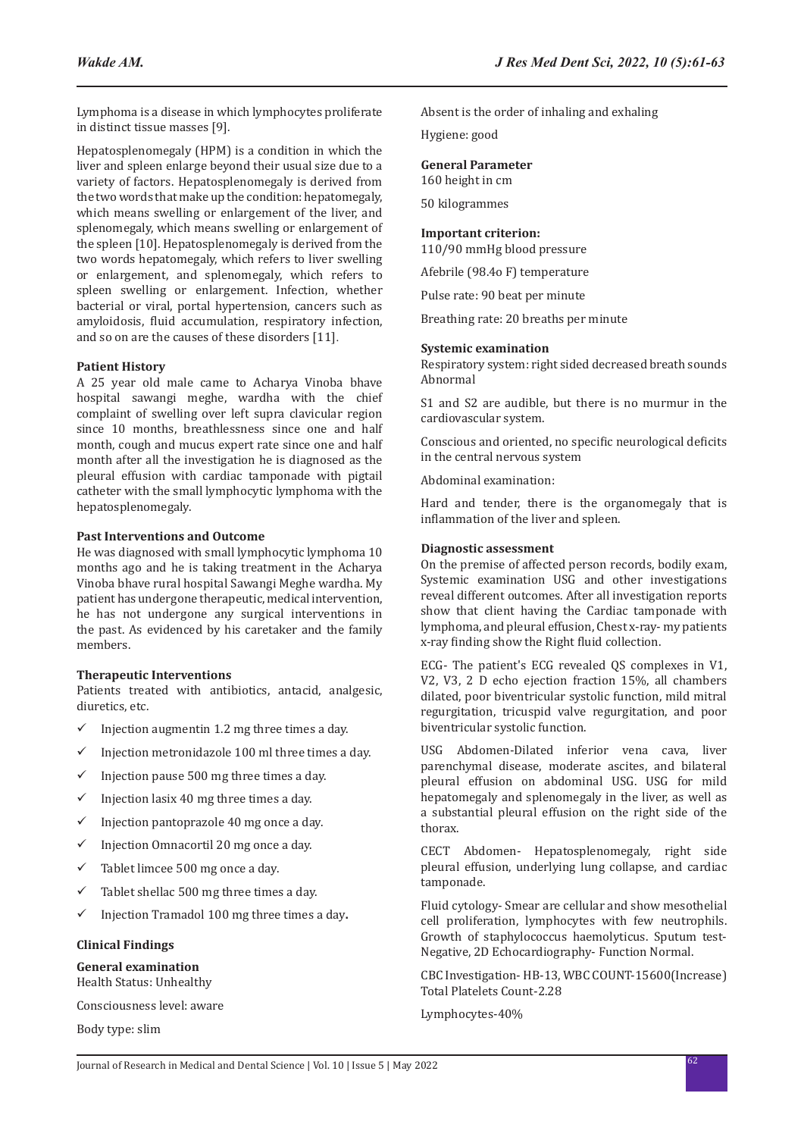Lymphoma is a disease in which lymphocytes proliferate in distinct tissue masses [9].

Hepatosplenomegaly (HPM) is a condition in which the liver and spleen enlarge beyond their usual size due to a variety of factors. Hepatosplenomegaly is derived from the two words that make up the condition: hepatomegaly, which means swelling or enlargement of the liver, and splenomegaly, which means swelling or enlargement of the spleen [10]. Hepatosplenomegaly is derived from the two words hepatomegaly, which refers to liver swelling or enlargement, and splenomegaly, which refers to spleen swelling or enlargement. Infection, whether bacterial or viral, portal hypertension, cancers such as amyloidosis, fluid accumulation, respiratory infection, and so on are the causes of these disorders [11].

#### **Patient History**

A 25 year old male came to Acharya Vinoba bhave hospital sawangi meghe, wardha with the chief complaint of swelling over left supra clavicular region since 10 months, breathlessness since one and half month, cough and mucus expert rate since one and half month after all the investigation he is diagnosed as the pleural effusion with cardiac tamponade with pigtail catheter with the small lymphocytic lymphoma with the hepatosplenomegaly.

#### **Past Interventions and Outcome**

He was diagnosed with small lymphocytic lymphoma 10 months ago and he is taking treatment in the Acharya Vinoba bhave rural hospital Sawangi Meghe wardha. My patient has undergone therapeutic, medical intervention, he has not undergone any surgical interventions in the past. As evidenced by his caretaker and the family members.

#### **Therapeutic Interventions**

Patients treated with antibiotics, antacid, analgesic, diuretics, etc.

- $\checkmark$  Injection augmentin 1.2 mg three times a day.
- $\checkmark$  Injection metronidazole 100 ml three times a day.
- $\checkmark$  Injection pause 500 mg three times a day.
- $\checkmark$  Injection lasix 40 mg three times a day.
- $\checkmark$  Injection pantoprazole 40 mg once a day.
- $\checkmark$  Injection Omnacortil 20 mg once a day.
- $\checkmark$  Tablet limcee 500 mg once a day.
- $\checkmark$  Tablet shellac 500 mg three times a day.
- 9 Injection Tramadol 100 mg three times a day**.**

### **Clinical Findings**

#### **General examination**

Health Status: Unhealthy

Consciousness level: aware

Body type: slim

Absent is the order of inhaling and exhaling

Hygiene: good

# **General Parameter**

160 height in cm

50 kilogrammes

# **Important criterion:**

110/90 mmHg blood pressure

Afebrile (98.4o F) temperature

Pulse rate: 90 beat per minute

Breathing rate: 20 breaths per minute

#### **Systemic examination**

Respiratory system: right sided decreased breath sounds Abnormal

S1 and S2 are audible, but there is no murmur in the cardiovascular system.

Conscious and oriented, no specific neurological deficits in the central nervous system

Abdominal examination:

Hard and tender, there is the organomegaly that is inflammation of the liver and spleen.

#### **Diagnostic assessment**

On the premise of affected person records, bodily exam, Systemic examination USG and other investigations reveal different outcomes. After all investigation reports show that client having the Cardiac tamponade with lymphoma, and pleural effusion, Chest x-ray- my patients x-ray finding show the Right fluid collection.

ECG- The patient's ECG revealed QS complexes in V1, V2, V3, 2 D echo ejection fraction 15%, all chambers dilated, poor biventricular systolic function, mild mitral regurgitation, tricuspid valve regurgitation, and poor biventricular systolic function.

USG Abdomen-Dilated inferior vena cava, liver parenchymal disease, moderate ascites, and bilateral pleural effusion on abdominal USG. USG for mild hepatomegaly and splenomegaly in the liver, as well as a substantial pleural effusion on the right side of the thorax.

CECT Abdomen- Hepatosplenomegaly, right side pleural effusion, underlying lung collapse, and cardiac tamponade.

Fluid cytology- Smear are cellular and show mesothelial cell proliferation, lymphocytes with few neutrophils. Growth of staphylococcus haemolyticus. Sputum test-Negative, 2D Echocardiography- Function Normal.

CBC Investigation- HB-13, WBC COUNT-15600(Increase) Total Platelets Count-2.28

Lymphocytes-40%